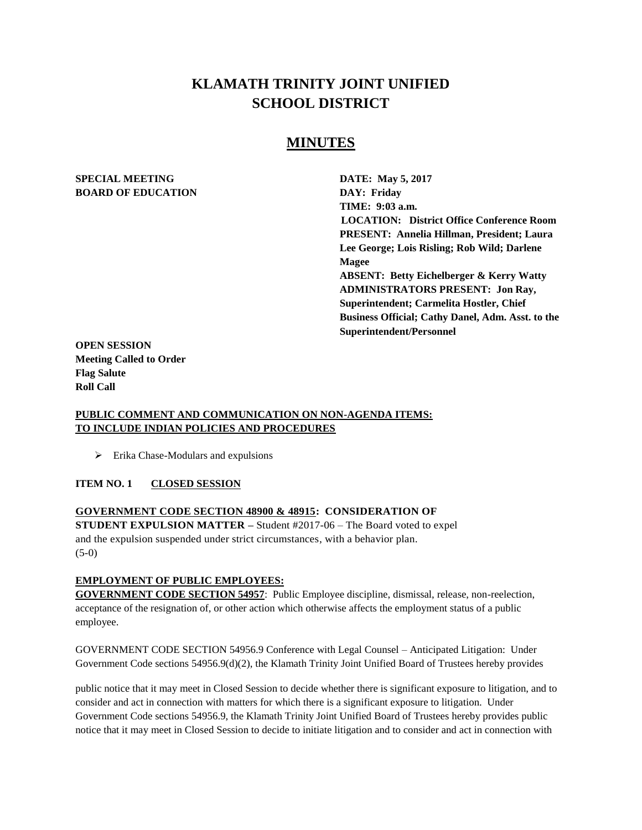# **KLAMATH TRINITY JOINT UNIFIED SCHOOL DISTRICT**

# **MINUTES**

#### **SPECIAL MEETING DATE: May 5, 2017 BOARD OF EDUCATION DAY: Friday**

**TIME: 9:03 a.m. LOCATION: District Office Conference Room PRESENT: Annelia Hillman, President; Laura Lee George; Lois Risling; Rob Wild; Darlene Magee ABSENT: Betty Eichelberger & Kerry Watty ADMINISTRATORS PRESENT: Jon Ray, Superintendent; Carmelita Hostler, Chief Business Official; Cathy Danel, Adm. Asst. to the Superintendent/Personnel** 

**OPEN SESSION Meeting Called to Order Flag Salute Roll Call**

#### **PUBLIC COMMENT AND COMMUNICATION ON NON-AGENDA ITEMS: TO INCLUDE INDIAN POLICIES AND PROCEDURES**

 $\triangleright$  Erika Chase-Modulars and expulsions

#### **ITEM NO. 1 CLOSED SESSION**

# **GOVERNMENT CODE SECTION 48900 & 48915: CONSIDERATION OF STUDENT EXPULSION MATTER –** Student #2017-06 – The Board voted to expel and the expulsion suspended under strict circumstances, with a behavior plan. (5-0)

#### **EMPLOYMENT OF PUBLIC EMPLOYEES:**

**GOVERNMENT CODE SECTION 54957**: Public Employee discipline, dismissal, release, non-reelection, acceptance of the resignation of, or other action which otherwise affects the employment status of a public employee.

GOVERNMENT CODE SECTION 54956.9 Conference with Legal Counsel – Anticipated Litigation: Under Government Code sections 54956.9(d)(2), the Klamath Trinity Joint Unified Board of Trustees hereby provides

public notice that it may meet in Closed Session to decide whether there is significant exposure to litigation, and to consider and act in connection with matters for which there is a significant exposure to litigation. Under Government Code sections 54956.9, the Klamath Trinity Joint Unified Board of Trustees hereby provides public notice that it may meet in Closed Session to decide to initiate litigation and to consider and act in connection with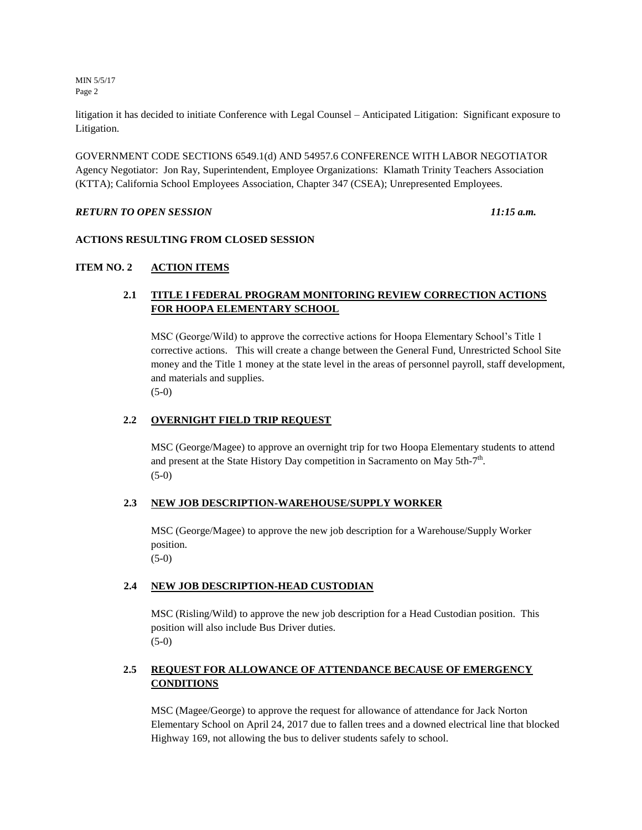MIN 5/5/17 Page 2

litigation it has decided to initiate Conference with Legal Counsel – Anticipated Litigation: Significant exposure to Litigation.

GOVERNMENT CODE SECTIONS 6549.1(d) AND 54957.6 CONFERENCE WITH LABOR NEGOTIATOR Agency Negotiator: Jon Ray, Superintendent, Employee Organizations: Klamath Trinity Teachers Association (KTTA); California School Employees Association, Chapter 347 (CSEA); Unrepresented Employees.

#### *RETURN TO OPEN SESSION 11:15 a.m.*

#### **ACTIONS RESULTING FROM CLOSED SESSION**

## **ITEM NO. 2 ACTION ITEMS**

# **2.1 TITLE I FEDERAL PROGRAM MONITORING REVIEW CORRECTION ACTIONS FOR HOOPA ELEMENTARY SCHOOL**

MSC (George/Wild) to approve the corrective actions for Hoopa Elementary School's Title 1 corrective actions. This will create a change between the General Fund, Unrestricted School Site money and the Title 1 money at the state level in the areas of personnel payroll, staff development, and materials and supplies. (5-0)

#### **2.2 OVERNIGHT FIELD TRIP REQUEST**

MSC (George/Magee) to approve an overnight trip for two Hoopa Elementary students to attend and present at the State History Day competition in Sacramento on May 5th- $7<sup>th</sup>$ . (5-0)

#### **2.3 NEW JOB DESCRIPTION-WAREHOUSE/SUPPLY WORKER**

MSC (George/Magee) to approve the new job description for a Warehouse/Supply Worker position.

(5-0)

#### **2.4 NEW JOB DESCRIPTION-HEAD CUSTODIAN**

MSC (Risling/Wild) to approve the new job description for a Head Custodian position. This position will also include Bus Driver duties.  $(5-0)$ 

# **2.5 REQUEST FOR ALLOWANCE OF ATTENDANCE BECAUSE OF EMERGENCY CONDITIONS**

MSC (Magee/George) to approve the request for allowance of attendance for Jack Norton Elementary School on April 24, 2017 due to fallen trees and a downed electrical line that blocked Highway 169, not allowing the bus to deliver students safely to school.